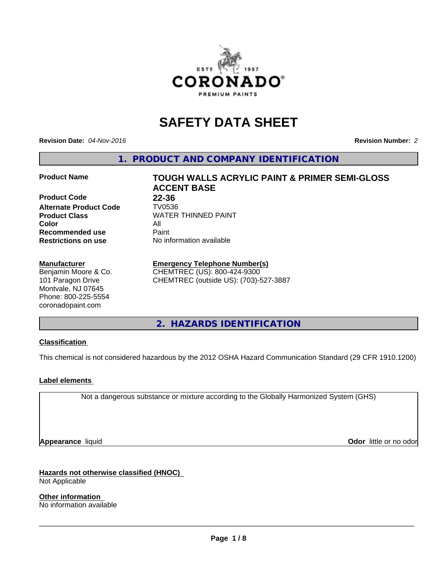

# **SAFETY DATA SHEET**

**Revision Date:** *04-Nov-2016* **Revision Number:** *2*

**1. PRODUCT AND COMPANY IDENTIFICATION**

**Product Code 22-36 Alternate Product Code TV0536**<br>**Product Class** WATER **Color** All **Recommended use** Paint<br> **Restrictions on use** No inf

#### **Manufacturer**

Benjamin Moore & Co. 101 Paragon Drive Montvale, NJ 07645 Phone: 800-225-5554 coronadopaint.com

**Product Name TOUGH WALLS ACRYLIC PAINT & PRIMER SEMI-GLOSS ACCENT BASE Product Class** WATER THINNED PAINT<br>
Color **No information available** 

### **Emergency Telephone Number(s)**

CHEMTREC (US): 800-424-9300 CHEMTREC (outside US): (703)-527-3887

**2. HAZARDS IDENTIFICATION**

### **Classification**

This chemical is not considered hazardous by the 2012 OSHA Hazard Communication Standard (29 CFR 1910.1200)

#### **Label elements**

Not a dangerous substance or mixture according to the Globally Harmonized System (GHS)

**Appearance** liquid **Contract Contract Contract Contract Contract Contract Contract Contract Contract Contract Contract Contract Contract Contract Contract Contract Contract Contract Contract Contract Contract Contract Con** 

**Hazards not otherwise classified (HNOC)** Not Applicable

**Other information** No information available

 $\overline{\phantom{a}}$  ,  $\overline{\phantom{a}}$  ,  $\overline{\phantom{a}}$  ,  $\overline{\phantom{a}}$  ,  $\overline{\phantom{a}}$  ,  $\overline{\phantom{a}}$  ,  $\overline{\phantom{a}}$  ,  $\overline{\phantom{a}}$  ,  $\overline{\phantom{a}}$  ,  $\overline{\phantom{a}}$  ,  $\overline{\phantom{a}}$  ,  $\overline{\phantom{a}}$  ,  $\overline{\phantom{a}}$  ,  $\overline{\phantom{a}}$  ,  $\overline{\phantom{a}}$  ,  $\overline{\phantom{a}}$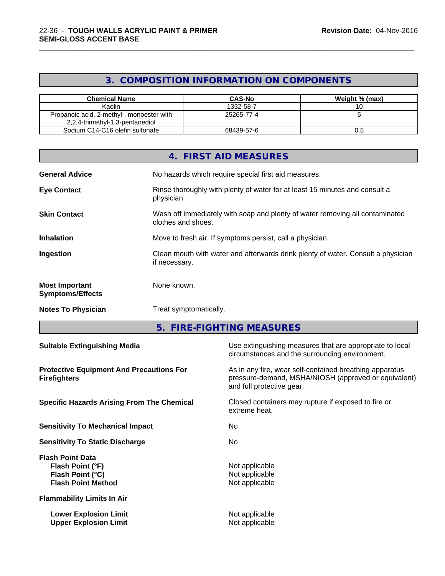### **3. COMPOSITION INFORMATION ON COMPONENTS**

\_\_\_\_\_\_\_\_\_\_\_\_\_\_\_\_\_\_\_\_\_\_\_\_\_\_\_\_\_\_\_\_\_\_\_\_\_\_\_\_\_\_\_\_\_\_\_\_\_\_\_\_\_\_\_\_\_\_\_\_\_\_\_\_\_\_\_\_\_\_\_\_\_\_\_\_\_\_\_\_\_\_\_\_\_\_\_\_\_\_\_\_\_

| <b>Chemical Name</b>                                                         | <b>CAS-No</b> | Weight % (max) |
|------------------------------------------------------------------------------|---------------|----------------|
| Kaolin                                                                       | 1332-58-7     |                |
| Propanoic acid, 2-methyl-, monoester with<br>2,2,4-trimethyl-1,3-pentanediol | 25265-77-4    |                |
| Sodium C14-C16 olefin sulfonate                                              | 68439-57-6    | U.C            |

|                                                  | 4. FIRST AID MEASURES                                                                              |
|--------------------------------------------------|----------------------------------------------------------------------------------------------------|
| <b>General Advice</b>                            | No hazards which require special first aid measures.                                               |
| <b>Eye Contact</b>                               | Rinse thoroughly with plenty of water for at least 15 minutes and consult a<br>physician.          |
| <b>Skin Contact</b>                              | Wash off immediately with soap and plenty of water removing all contaminated<br>clothes and shoes. |
| <b>Inhalation</b>                                | Move to fresh air. If symptoms persist, call a physician.                                          |
| Ingestion                                        | Clean mouth with water and afterwards drink plenty of water. Consult a physician<br>if necessary.  |
| <b>Most Important</b><br><b>Symptoms/Effects</b> | None known.                                                                                        |
| <b>Notes To Physician</b>                        | Treat symptomatically.                                                                             |

**5. FIRE-FIGHTING MEASURES**

| <b>Suitable Extinguishing Media</b>                                                          | Use extinguishing measures that are appropriate to local<br>circumstances and the surrounding environment.                                   |
|----------------------------------------------------------------------------------------------|----------------------------------------------------------------------------------------------------------------------------------------------|
| <b>Protective Equipment And Precautions For</b><br><b>Firefighters</b>                       | As in any fire, wear self-contained breathing apparatus<br>pressure-demand, MSHA/NIOSH (approved or equivalent)<br>and full protective gear. |
| <b>Specific Hazards Arising From The Chemical</b>                                            | Closed containers may rupture if exposed to fire or<br>extreme heat.                                                                         |
| <b>Sensitivity To Mechanical Impact</b>                                                      | No.                                                                                                                                          |
| <b>Sensitivity To Static Discharge</b>                                                       | No.                                                                                                                                          |
| <b>Flash Point Data</b><br>Flash Point (°F)<br>Flash Point (°C)<br><b>Flash Point Method</b> | Not applicable<br>Not applicable<br>Not applicable                                                                                           |
| <b>Flammability Limits In Air</b>                                                            |                                                                                                                                              |
| <b>Lower Explosion Limit</b><br><b>Upper Explosion Limit</b>                                 | Not applicable<br>Not applicable                                                                                                             |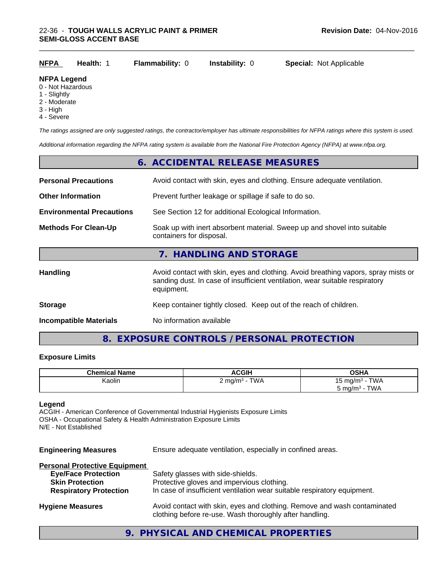| <b>NFPA</b> | Health: 1 | <b>Flammability: 0 lnstability: 0</b> | <b>Special: Not Applicable</b> |
|-------------|-----------|---------------------------------------|--------------------------------|
|             |           |                                       |                                |

#### **NFPA Legend**

- 0 Not Hazardous
- 1 Slightly
- 2 Moderate
- 3 High
- 4 Severe

*The ratings assigned are only suggested ratings, the contractor/employer has ultimate responsibilities for NFPA ratings where this system is used.*

\_\_\_\_\_\_\_\_\_\_\_\_\_\_\_\_\_\_\_\_\_\_\_\_\_\_\_\_\_\_\_\_\_\_\_\_\_\_\_\_\_\_\_\_\_\_\_\_\_\_\_\_\_\_\_\_\_\_\_\_\_\_\_\_\_\_\_\_\_\_\_\_\_\_\_\_\_\_\_\_\_\_\_\_\_\_\_\_\_\_\_\_\_

*Additional information regarding the NFPA rating system is available from the National Fire Protection Agency (NFPA) at www.nfpa.org.*

|                                  | 6. ACCIDENTAL RELEASE MEASURES                                                                                                                                                   |  |  |
|----------------------------------|----------------------------------------------------------------------------------------------------------------------------------------------------------------------------------|--|--|
| <b>Personal Precautions</b>      | Avoid contact with skin, eyes and clothing. Ensure adequate ventilation.                                                                                                         |  |  |
| <b>Other Information</b>         | Prevent further leakage or spillage if safe to do so.                                                                                                                            |  |  |
| <b>Environmental Precautions</b> | See Section 12 for additional Ecological Information.                                                                                                                            |  |  |
| <b>Methods For Clean-Up</b>      | Soak up with inert absorbent material. Sweep up and shovel into suitable<br>containers for disposal.                                                                             |  |  |
|                                  | 7. HANDLING AND STORAGE                                                                                                                                                          |  |  |
| Handling                         | Avoid contact with skin, eyes and clothing. Avoid breathing vapors, spray mists or<br>sanding dust. In case of insufficient ventilation, wear suitable respiratory<br>equipment. |  |  |
| <b>Storage</b>                   | Keep container tightly closed. Keep out of the reach of children.                                                                                                                |  |  |
| <b>Incompatible Materials</b>    | No information available                                                                                                                                                         |  |  |

### **8. EXPOSURE CONTROLS / PERSONAL PROTECTION**

#### **Exposure Limits**

| <b>Chemical Name</b> | <b>ACGIH</b>                                              | OSHA                          |
|----------------------|-----------------------------------------------------------|-------------------------------|
| Kaolin               | TWA<br>ma/m <sup>3</sup><br>the control of the control of | TWA<br>ma/m <sup>3</sup><br>w |
|                      |                                                           | <b>TWA</b><br>ma/m∼           |

#### **Legend**

ACGIH - American Conference of Governmental Industrial Hygienists Exposure Limits OSHA - Occupational Safety & Health Administration Exposure Limits N/E - Not Established

**Engineering Measures** Ensure adequate ventilation, especially in confined areas.

### **Personal Protective Equipment**

| <b>Eye/Face Protection</b><br><b>Skin Protection</b> | Safety glasses with side-shields.<br>Protective gloves and impervious clothing.                                                     |
|------------------------------------------------------|-------------------------------------------------------------------------------------------------------------------------------------|
| <b>Respiratory Protection</b>                        | In case of insufficient ventilation wear suitable respiratory equipment.                                                            |
| <b>Hygiene Measures</b>                              | Avoid contact with skin, eyes and clothing. Remove and wash contaminated<br>clothing before re-use. Wash thoroughly after handling. |

### **9. PHYSICAL AND CHEMICAL PROPERTIES**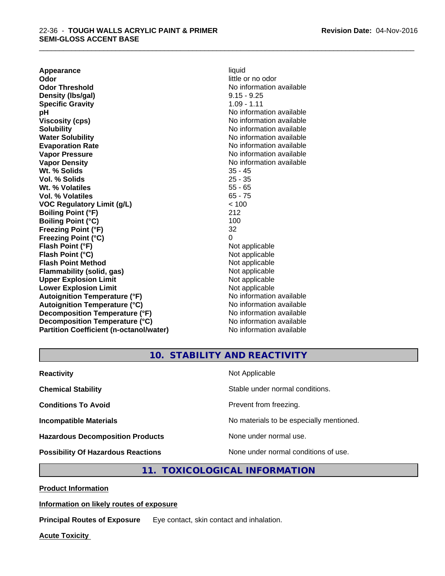**Appearance** liquid **Odor** little or no odor **Odor Threshold No information available No information available Density (Ibs/gal)** 9.15 - 9.25 **Specific Gravity** 1.09 - 1.11 **pH** No information available **Viscosity (cps)** No information available in the Viscosity (cps) **Solubility Note 2008 Note 2008 Note 2008 Note 2008 Note 2008 Note 2008 Note 2008 Note 2008 Note 2008 Note 2008 Note 2008 Note 2008 Note 2008 Note 2008 Note 2008 Note 2008 Note 2008 Note Water Solubility Water Solubility Water Solubility No information available Evaporation Rate No information available No information available Vapor Pressure** No information available **Vapor Density Vapor Density No information available Wt. % Solids** 35 - 45 **Vol. % Solids** 25 - 35 **Wt. % Volatiles** 55 - 65 **Vol. % Volatiles** 65 - 75 **VOC Regulatory Limit (g/L)** < 100 **Boiling Point (°F)** 212 **Boiling Point (°C)** 100 **Freezing Point (°F)** 32 **Freezing Point (°C)** 0 **Flash Point (°F)** Not applicable **Flash Point (°C)** Not applicable **Flash Point Method** Not applicable **Flammability (solid, gas)** Not applicable **Upper Explosion Limit** Not applicable **Lower Explosion Limit**<br> **Autoignition Temperature (°F)**<br> **Autoignition Temperature (°F)**<br> **Autoignition Temperature (°F)**<br> **Autoignition Temperature (°F)** Autoignition Temperature (°F)<br> **Autoignition Temperature (°C)**<br>
No information available **Autoignition Temperature (°C) Decomposition Temperature (°F)** No information available **Decomposition Temperature (°C)** No information available **Partition Coefficient (n-octanol/water)** No information available

\_\_\_\_\_\_\_\_\_\_\_\_\_\_\_\_\_\_\_\_\_\_\_\_\_\_\_\_\_\_\_\_\_\_\_\_\_\_\_\_\_\_\_\_\_\_\_\_\_\_\_\_\_\_\_\_\_\_\_\_\_\_\_\_\_\_\_\_\_\_\_\_\_\_\_\_\_\_\_\_\_\_\_\_\_\_\_\_\_\_\_\_\_

**10. STABILITY AND REACTIVITY**

| <b>Reactivity</b>                         | Not Applicable                           |
|-------------------------------------------|------------------------------------------|
| <b>Chemical Stability</b>                 | Stable under normal conditions.          |
| <b>Conditions To Avoid</b>                | Prevent from freezing.                   |
| <b>Incompatible Materials</b>             | No materials to be especially mentioned. |
| <b>Hazardous Decomposition Products</b>   | None under normal use.                   |
| <b>Possibility Of Hazardous Reactions</b> | None under normal conditions of use.     |

**11. TOXICOLOGICAL INFORMATION**

**Product Information**

#### **Information on likely routes of exposure**

**Principal Routes of Exposure** Eye contact, skin contact and inhalation.

**Acute Toxicity**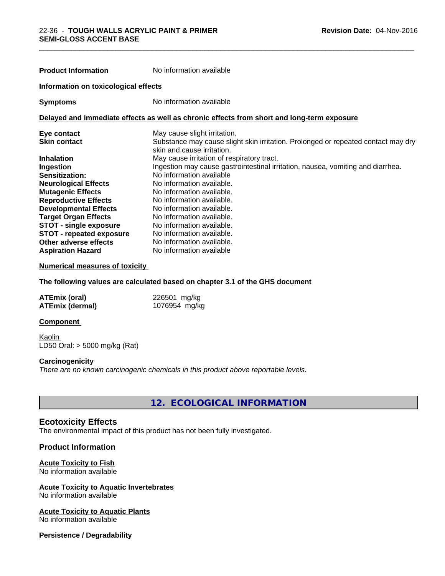| <b>Product Information</b>           | No information available                                                                                        |  |  |
|--------------------------------------|-----------------------------------------------------------------------------------------------------------------|--|--|
| Information on toxicological effects |                                                                                                                 |  |  |
| <b>Symptoms</b>                      | No information available                                                                                        |  |  |
|                                      | Delayed and immediate effects as well as chronic effects from short and long-term exposure                      |  |  |
| Eye contact                          | May cause slight irritation.                                                                                    |  |  |
| <b>Skin contact</b>                  | Substance may cause slight skin irritation. Prolonged or repeated contact may dry<br>skin and cause irritation. |  |  |
| <b>Inhalation</b>                    | May cause irritation of respiratory tract.                                                                      |  |  |
| Ingestion                            | Ingestion may cause gastrointestinal irritation, nausea, vomiting and diarrhea.                                 |  |  |
| Sensitization:                       | No information available                                                                                        |  |  |
| <b>Neurological Effects</b>          | No information available.                                                                                       |  |  |
| <b>Mutagenic Effects</b>             | No information available.                                                                                       |  |  |
| <b>Reproductive Effects</b>          | No information available.                                                                                       |  |  |
| <b>Developmental Effects</b>         | No information available.                                                                                       |  |  |
| <b>Target Organ Effects</b>          | No information available.                                                                                       |  |  |
| <b>STOT - single exposure</b>        | No information available.                                                                                       |  |  |
| <b>STOT - repeated exposure</b>      | No information available.                                                                                       |  |  |
| Other adverse effects                | No information available.                                                                                       |  |  |
| <b>Aspiration Hazard</b>             | No information available                                                                                        |  |  |

\_\_\_\_\_\_\_\_\_\_\_\_\_\_\_\_\_\_\_\_\_\_\_\_\_\_\_\_\_\_\_\_\_\_\_\_\_\_\_\_\_\_\_\_\_\_\_\_\_\_\_\_\_\_\_\_\_\_\_\_\_\_\_\_\_\_\_\_\_\_\_\_\_\_\_\_\_\_\_\_\_\_\_\_\_\_\_\_\_\_\_\_\_

#### **Numerical measures of toxicity**

**The following values are calculated based on chapter 3.1 of the GHS document**

| <b>ATEmix (oral)</b>   | 226501 mg/kg  |
|------------------------|---------------|
| <b>ATEmix (dermal)</b> | 1076954 mg/kg |

#### **Component**

Kaolin LD50 Oral: > 5000 mg/kg (Rat)

#### **Carcinogenicity**

*There are no known carcinogenic chemicals in this product above reportable levels.*

**12. ECOLOGICAL INFORMATION**

#### **Ecotoxicity Effects**

The environmental impact of this product has not been fully investigated.

#### **Product Information**

#### **Acute Toxicity to Fish**

No information available

### **Acute Toxicity to Aquatic Invertebrates**

No information available

### **Acute Toxicity to Aquatic Plants**

No information available

#### **Persistence / Degradability**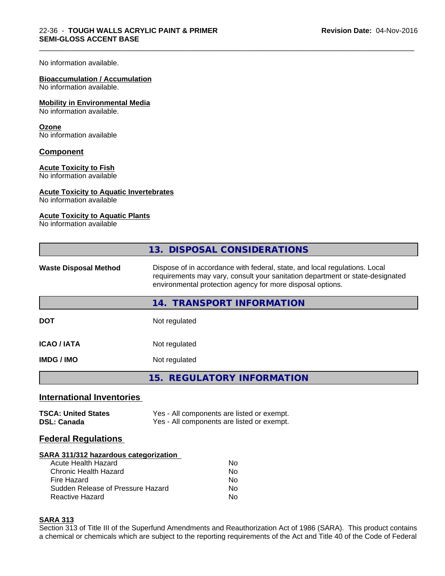#### No information available.

#### **Bioaccumulation / Accumulation**

No information available.

#### **Mobility in Environmental Media**

No information available.

#### **Ozone**

No information available

#### **Component**

#### **Acute Toxicity to Fish**

No information available

#### **Acute Toxicity to Aquatic Invertebrates**

No information available

### **Acute Toxicity to Aquatic Plants**

No information available

|                              | 13. DISPOSAL CONSIDERATIONS                                                                                                                                                                                               |
|------------------------------|---------------------------------------------------------------------------------------------------------------------------------------------------------------------------------------------------------------------------|
| <b>Waste Disposal Method</b> | Dispose of in accordance with federal, state, and local regulations. Local<br>requirements may vary, consult your sanitation department or state-designated<br>environmental protection agency for more disposal options. |
|                              | <b>TRANSPORT INFORMATION</b><br>14.                                                                                                                                                                                       |
| <b>DOT</b>                   | Not regulated                                                                                                                                                                                                             |
| <b>ICAO / IATA</b>           | Not regulated                                                                                                                                                                                                             |
| <b>IMDG/IMO</b>              | Not regulated                                                                                                                                                                                                             |
|                              | 15. REGULATORY INFORMATION                                                                                                                                                                                                |

\_\_\_\_\_\_\_\_\_\_\_\_\_\_\_\_\_\_\_\_\_\_\_\_\_\_\_\_\_\_\_\_\_\_\_\_\_\_\_\_\_\_\_\_\_\_\_\_\_\_\_\_\_\_\_\_\_\_\_\_\_\_\_\_\_\_\_\_\_\_\_\_\_\_\_\_\_\_\_\_\_\_\_\_\_\_\_\_\_\_\_\_\_

### **International Inventories**

| <b>TSCA: United States</b> | Yes - All components are listed or exempt. |
|----------------------------|--------------------------------------------|
| <b>DSL: Canada</b>         | Yes - All components are listed or exempt. |

### **Federal Regulations**

#### **SARA 311/312 hazardous categorization**

| Acute Health Hazard               | No |
|-----------------------------------|----|
| Chronic Health Hazard             | Nο |
| Fire Hazard                       | N٥ |
| Sudden Release of Pressure Hazard | Nο |
| Reactive Hazard                   | Nο |

#### **SARA 313**

Section 313 of Title III of the Superfund Amendments and Reauthorization Act of 1986 (SARA). This product contains a chemical or chemicals which are subject to the reporting requirements of the Act and Title 40 of the Code of Federal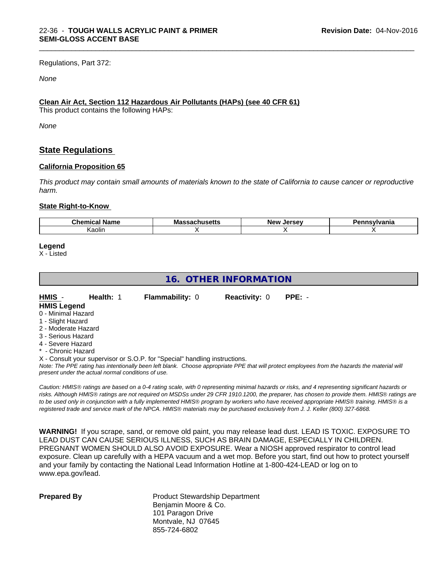Regulations, Part 372:

#### *None*

#### **Clean Air Act,Section 112 Hazardous Air Pollutants (HAPs) (see 40 CFR 61)**

This product contains the following HAPs:

*None*

### **State Regulations**

#### **California Proposition 65**

This product may contain small amounts of materials known to the state of California to cause cancer or reproductive *harm.*

\_\_\_\_\_\_\_\_\_\_\_\_\_\_\_\_\_\_\_\_\_\_\_\_\_\_\_\_\_\_\_\_\_\_\_\_\_\_\_\_\_\_\_\_\_\_\_\_\_\_\_\_\_\_\_\_\_\_\_\_\_\_\_\_\_\_\_\_\_\_\_\_\_\_\_\_\_\_\_\_\_\_\_\_\_\_\_\_\_\_\_\_\_

#### **State Right-to-Know**

| ™hon<br>----<br>name<br>97 F B B<br>-- | ма<br>ฉบแนวចแว | <b>Orcou</b><br>Nev.<br><br>$-$ | .<br>anıa |
|----------------------------------------|----------------|---------------------------------|-----------|
| Kaolin                                 |                |                                 |           |

#### **Legend**

X - Listed

## **16. OTHER INFORMATION**

| HMIS -              | Health: 1 | <b>Flammability: 0</b> | <b>Reactivity: 0</b> | $PPE: -$ |  |
|---------------------|-----------|------------------------|----------------------|----------|--|
| <b>HMIS Legend</b>  |           |                        |                      |          |  |
| 0 - Minimal Hazard  |           |                        |                      |          |  |
| 1 - Slight Hazard   |           |                        |                      |          |  |
| 2 - Moderate Hazard |           |                        |                      |          |  |
| 3 - Serious Hazard  |           |                        |                      |          |  |
| 4 - Severe Hazard   |           |                        |                      |          |  |

\* - Chronic Hazard

X - Consult your supervisor or S.O.P. for "Special" handling instructions.

*Note: The PPE rating has intentionally been left blank. Choose appropriate PPE that will protect employees from the hazards the material will present under the actual normal conditions of use.*

*Caution: HMISÒ ratings are based on a 0-4 rating scale, with 0 representing minimal hazards or risks, and 4 representing significant hazards or risks. Although HMISÒ ratings are not required on MSDSs under 29 CFR 1910.1200, the preparer, has chosen to provide them. HMISÒ ratings are to be used only in conjunction with a fully implemented HMISÒ program by workers who have received appropriate HMISÒ training. HMISÒ is a registered trade and service mark of the NPCA. HMISÒ materials may be purchased exclusively from J. J. Keller (800) 327-6868.*

**WARNING!** If you scrape, sand, or remove old paint, you may release lead dust. LEAD IS TOXIC. EXPOSURE TO LEAD DUST CAN CAUSE SERIOUS ILLNESS, SUCH AS BRAIN DAMAGE, ESPECIALLY IN CHILDREN. PREGNANT WOMEN SHOULD ALSO AVOID EXPOSURE.Wear a NIOSH approved respirator to control lead exposure. Clean up carefully with a HEPA vacuum and a wet mop. Before you start, find out how to protect yourself and your family by contacting the National Lead Information Hotline at 1-800-424-LEAD or log on to www.epa.gov/lead.

**Prepared By** Product Stewardship Department Benjamin Moore & Co. 101 Paragon Drive Montvale, NJ 07645 855-724-6802